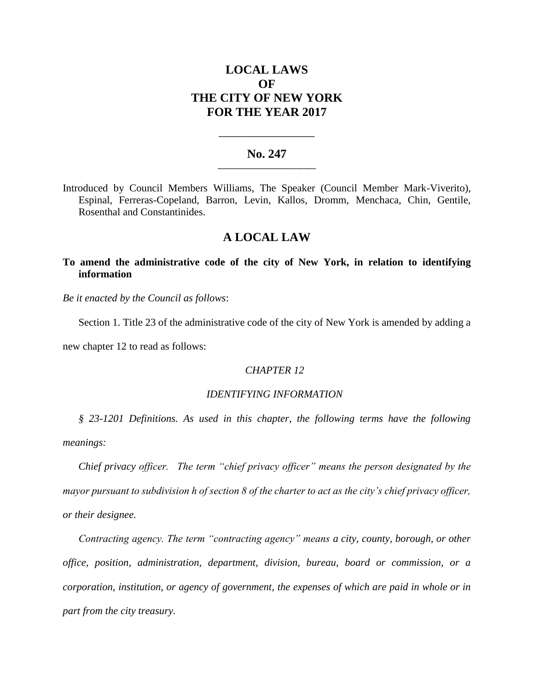# **LOCAL LAWS OF THE CITY OF NEW YORK FOR THE YEAR 2017**

#### **No. 247 \_\_\_\_\_\_\_\_\_\_\_\_\_\_\_\_\_\_\_\_\_\_\_\_\_**

**\_\_\_\_\_\_\_\_\_\_\_\_\_\_\_\_\_\_\_\_\_\_**

Introduced by Council Members Williams, The Speaker (Council Member Mark-Viverito), Espinal, Ferreras-Copeland, Barron, Levin, Kallos, Dromm, Menchaca, Chin, Gentile, Rosenthal and Constantinides.

### **A LOCAL LAW**

### **To amend the administrative code of the city of New York, in relation to identifying information**

*Be it enacted by the Council as follows*:

Section 1. Title 23 of the administrative code of the city of New York is amended by adding a

new chapter 12 to read as follows:

### *CHAPTER 12*

## *IDENTIFYING INFORMATION*

*§ 23-1201 Definitions. As used in this chapter, the following terms have the following meanings:*

*Chief privacy officer. The term "chief privacy officer" means the person designated by the mayor pursuant to subdivision h of section 8 of the charter to act as the city's chief privacy officer, or their designee.*

*Contracting agency. The term "contracting agency" means a city, county, borough, or other office, position, administration, department, division, bureau, board or commission, or a corporation, institution, or agency of government, the expenses of which are paid in whole or in part from the city treasury.*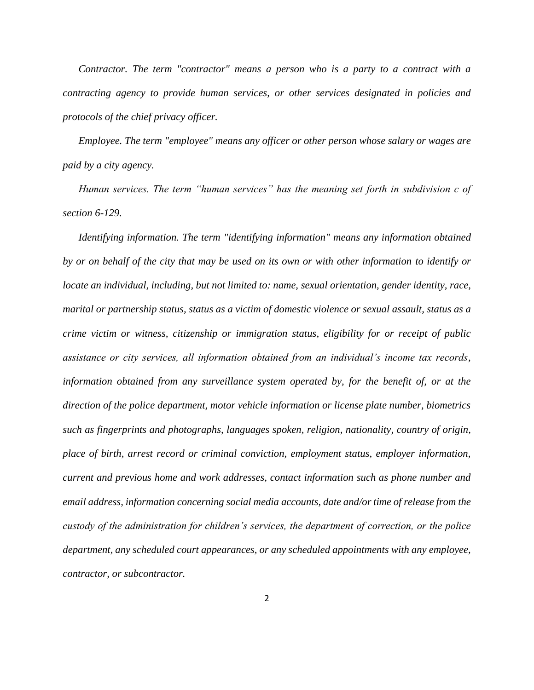*Contractor. The term "contractor" means a person who is a party to a contract with a contracting agency to provide human services, or other services designated in policies and protocols of the chief privacy officer.*

*Employee. The term "employee" means any officer or other person whose salary or wages are paid by a city agency.*

*Human services. The term "human services" has the meaning set forth in subdivision c of section 6-129.*

*Identifying information. The term "identifying information" means any information obtained by or on behalf of the city that may be used on its own or with other information to identify or locate an individual, including, but not limited to: name, sexual orientation, gender identity, race, marital or partnership status, status as a victim of domestic violence or sexual assault, status as a crime victim or witness, citizenship or immigration status, eligibility for or receipt of public assistance or city services, all information obtained from an individual's income tax records, information obtained from any surveillance system operated by, for the benefit of, or at the direction of the police department, motor vehicle information or license plate number, biometrics such as fingerprints and photographs, languages spoken, religion, nationality, country of origin, place of birth, arrest record or criminal conviction, employment status, employer information, current and previous home and work addresses, contact information such as phone number and email address, information concerning social media accounts, date and/or time of release from the custody of the administration for children's services, the department of correction, or the police department, any scheduled court appearances, or any scheduled appointments with any employee, contractor, or subcontractor.*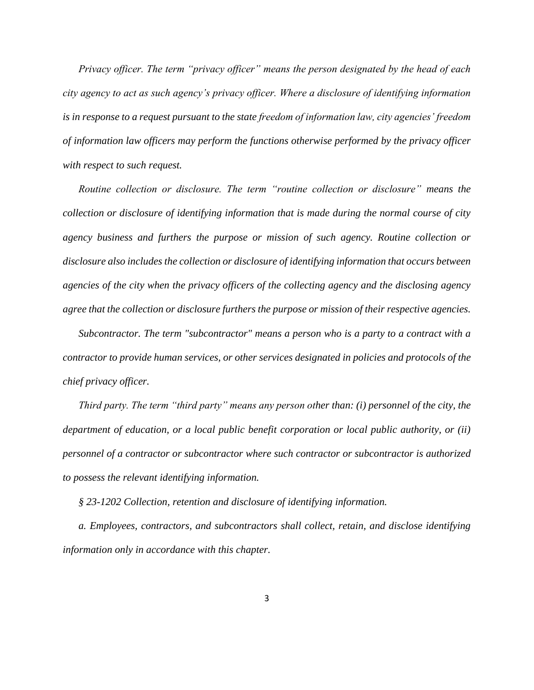*Privacy officer. The term "privacy officer" means the person designated by the head of each city agency to act as such agency's privacy officer. Where a disclosure of identifying information is in response to a request pursuant to the state freedom of information law, city agencies' freedom of information law officers may perform the functions otherwise performed by the privacy officer with respect to such request.*

*Routine collection or disclosure. The term "routine collection or disclosure" means the collection or disclosure of identifying information that is made during the normal course of city agency business and furthers the purpose or mission of such agency. Routine collection or disclosure also includes the collection or disclosure of identifying information that occurs between agencies of the city when the privacy officers of the collecting agency and the disclosing agency agree that the collection or disclosure furthers the purpose or mission of their respective agencies.*

*Subcontractor. The term "subcontractor" means a person who is a party to a contract with a contractor to provide human services, or other services designated in policies and protocols of the chief privacy officer.*

*Third party. The term "third party" means any person other than: (i) personnel of the city, the department of education, or a local public benefit corporation or local public authority, or (ii) personnel of a contractor or subcontractor where such contractor or subcontractor is authorized to possess the relevant identifying information.* 

*§ 23-1202 Collection, retention and disclosure of identifying information.* 

*a. Employees, contractors, and subcontractors shall collect, retain, and disclose identifying information only in accordance with this chapter.*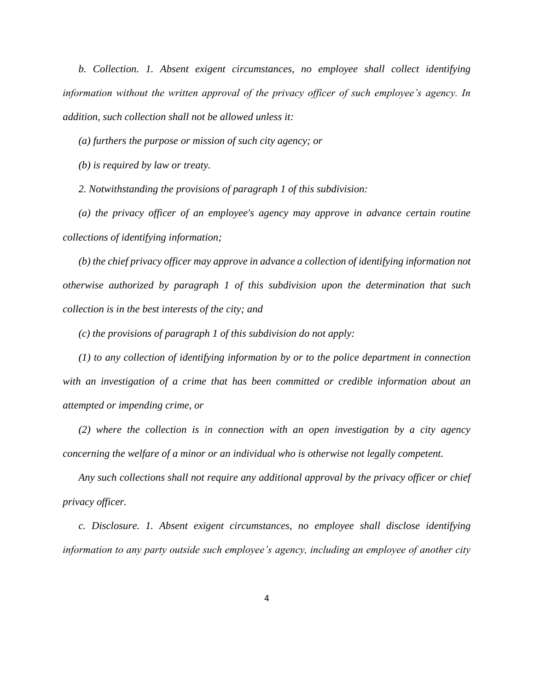*b. Collection. 1. Absent exigent circumstances, no employee shall collect identifying information without the written approval of the privacy officer of such employee's agency. In addition, such collection shall not be allowed unless it:*

*(a) furthers the purpose or mission of such city agency; or*

*(b) is required by law or treaty.*

*2. Notwithstanding the provisions of paragraph 1 of this subdivision:*

*(a) the privacy officer of an employee's agency may approve in advance certain routine collections of identifying information;* 

*(b) the chief privacy officer may approve in advance a collection of identifying information not otherwise authorized by paragraph 1 of this subdivision upon the determination that such collection is in the best interests of the city; and*

*(c) the provisions of paragraph 1 of this subdivision do not apply:* 

*(1) to any collection of identifying information by or to the police department in connection with an investigation of a crime that has been committed or credible information about an attempted or impending crime, or* 

*(2) where the collection is in connection with an open investigation by a city agency concerning the welfare of a minor or an individual who is otherwise not legally competent.*

*Any such collections shall not require any additional approval by the privacy officer or chief privacy officer.*

*c. Disclosure. 1. Absent exigent circumstances, no employee shall disclose identifying information to any party outside such employee's agency, including an employee of another city*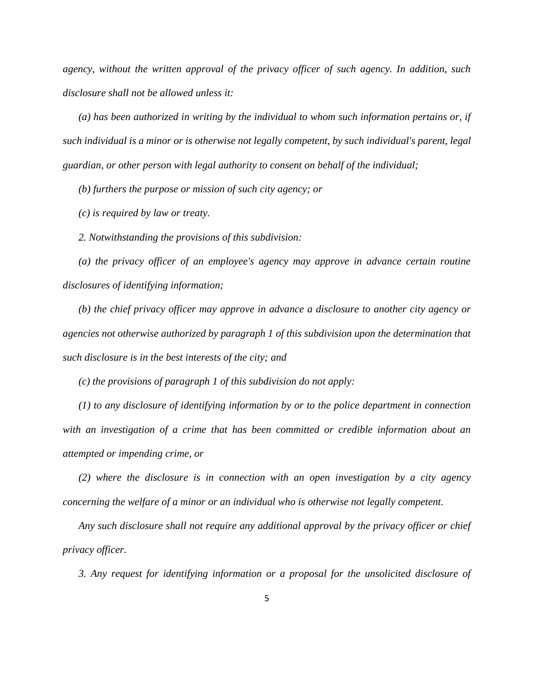*agency, without the written approval of the privacy officer of such agency. In addition, such disclosure shall not be allowed unless it:*

*(a) has been authorized in writing by the individual to whom such information pertains or, if such individual is a minor or is otherwise not legally competent, by such individual's parent, legal guardian, or other person with legal authority to consent on behalf of the individual;*

*(b) furthers the purpose or mission of such city agency; or*

*(c) is required by law or treaty.*

*2. Notwithstanding the provisions of this subdivision:*

*(a) the privacy officer of an employee's agency may approve in advance certain routine disclosures of identifying information;*

*(b) the chief privacy officer may approve in advance a disclosure to another city agency or agencies not otherwise authorized by paragraph 1 of this subdivision upon the determination that such disclosure is in the best interests of the city; and*

*(c) the provisions of paragraph 1 of this subdivision do not apply:* 

*(1) to any disclosure of identifying information by or to the police department in connection with an investigation of a crime that has been committed or credible information about an attempted or impending crime, or* 

*(2) where the disclosure is in connection with an open investigation by a city agency concerning the welfare of a minor or an individual who is otherwise not legally competent.* 

*Any such disclosure shall not require any additional approval by the privacy officer or chief privacy officer.*

*3. Any request for identifying information or a proposal for the unsolicited disclosure of*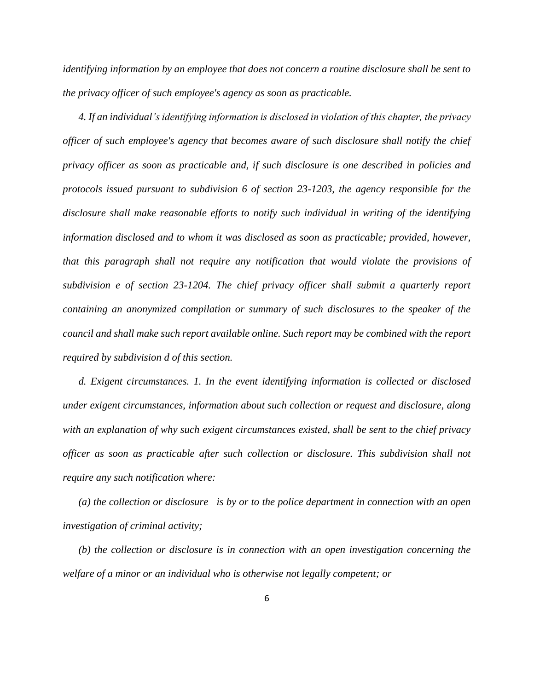*identifying information by an employee that does not concern a routine disclosure shall be sent to the privacy officer of such employee's agency as soon as practicable.*

*4. If an individual's identifying information is disclosed in violation of this chapter, the privacy officer of such employee's agency that becomes aware of such disclosure shall notify the chief privacy officer as soon as practicable and, if such disclosure is one described in policies and protocols issued pursuant to subdivision 6 of section 23-1203, the agency responsible for the disclosure shall make reasonable efforts to notify such individual in writing of the identifying information disclosed and to whom it was disclosed as soon as practicable; provided, however, that this paragraph shall not require any notification that would violate the provisions of subdivision e of section 23-1204. The chief privacy officer shall submit a quarterly report containing an anonymized compilation or summary of such disclosures to the speaker of the council and shall make such report available online. Such report may be combined with the report required by subdivision d of this section.* 

*d. Exigent circumstances. 1. In the event identifying information is collected or disclosed under exigent circumstances, information about such collection or request and disclosure, along with an explanation of why such exigent circumstances existed, shall be sent to the chief privacy officer as soon as practicable after such collection or disclosure. This subdivision shall not require any such notification where:*

*(a) the collection or disclosure is by or to the police department in connection with an open investigation of criminal activity;* 

*(b) the collection or disclosure is in connection with an open investigation concerning the welfare of a minor or an individual who is otherwise not legally competent; or*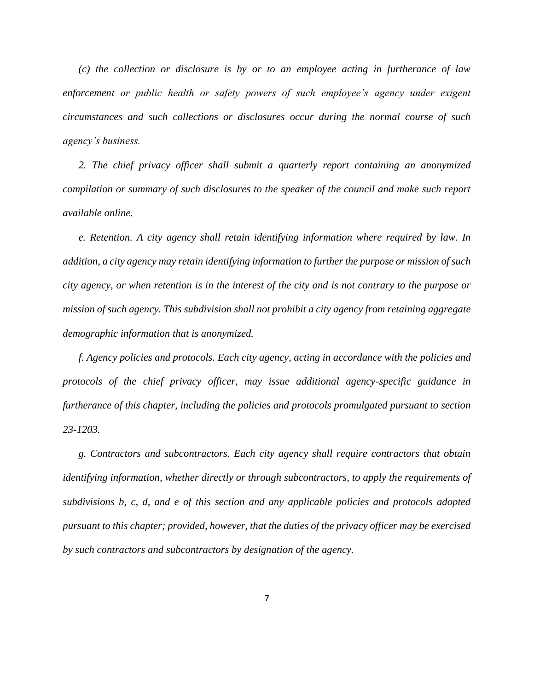*(c) the collection or disclosure is by or to an employee acting in furtherance of law enforcement or public health or safety powers of such employee's agency under exigent circumstances and such collections or disclosures occur during the normal course of such agency's business.*

*2. The chief privacy officer shall submit a quarterly report containing an anonymized compilation or summary of such disclosures to the speaker of the council and make such report available online.*

*e. Retention. A city agency shall retain identifying information where required by law. In addition, a city agency may retain identifying information to further the purpose or mission of such city agency, or when retention is in the interest of the city and is not contrary to the purpose or mission of such agency. This subdivision shall not prohibit a city agency from retaining aggregate demographic information that is anonymized.*

*f. Agency policies and protocols. Each city agency, acting in accordance with the policies and protocols of the chief privacy officer, may issue additional agency-specific guidance in furtherance of this chapter, including the policies and protocols promulgated pursuant to section 23-1203.* 

*g. Contractors and subcontractors. Each city agency shall require contractors that obtain identifying information, whether directly or through subcontractors, to apply the requirements of subdivisions b, c, d, and e of this section and any applicable policies and protocols adopted pursuant to this chapter; provided, however, that the duties of the privacy officer may be exercised by such contractors and subcontractors by designation of the agency.*